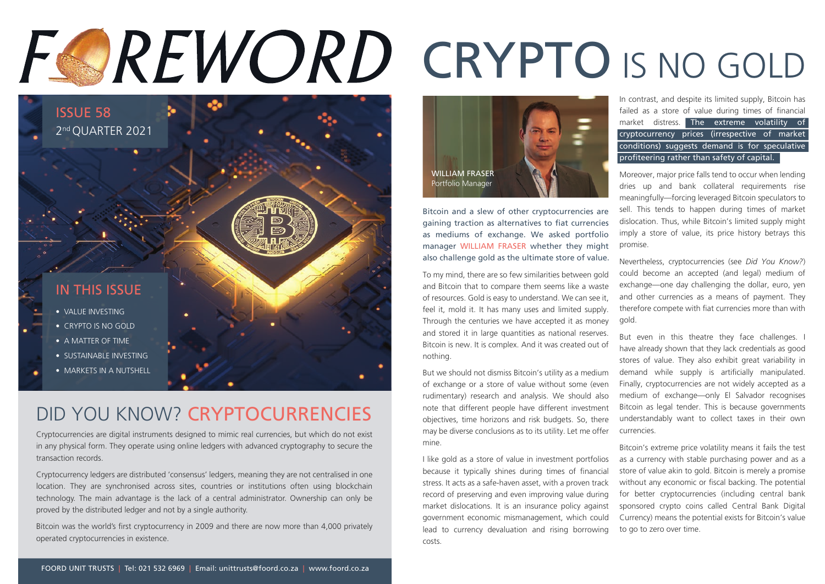# FOREWORD CRYPTO IS NO GOLD



#### DID YOU KNOW? CRYPTOCURRENCIES

Cryptocurrencies are digital instruments designed to mimic real currencies, but which do not exist in any physical form. They operate using online ledgers with advanced cryptography to secure the transaction records.

Cryptocurrency ledgers are distributed 'consensus' ledgers, meaning they are not centralised in one location. They are synchronised across sites, countries or institutions often using blockchain technology. The main advantage is the lack of a central administrator. Ownership can only be proved by the distributed ledger and not by a single authority.

Bitcoin was the world's first cryptocurrency in 2009 and there are now more than 4,000 privately operated cryptocurrencies in existence.



Bitcoin and a slew of other cryptocurrencies are gaining traction as alternatives to fiat currencies as mediums of exchange. We asked portfolio manager WILLIAM FRASER whether they might also challenge gold as the ultimate store of value.

To my mind, there are so few similarities between gold and Bitcoin that to compare them seems like a waste of resources. Gold is easy to understand. We can see it, feel it, mold it. It has many uses and limited supply. Through the centuries we have accepted it as money and stored it in large quantities as national reserves. Bitcoin is new. It is complex. And it was created out of nothing.

But we should not dismiss Bitcoin's utility as a medium of exchange or a store of value without some (even rudimentary) research and analysis. We should also note that different people have different investment objectives, time horizons and risk budgets. So, there may be diverse conclusions as to its utility. Let me offer mine.

I like gold as a store of value in investment portfolios because it typically shines during times of financial stress. It acts as a safe-haven asset, with a proven track record of preserving and even improving value during market dislocations. It is an insurance policy against government economic mismanagement, which could lead to currency devaluation and rising borrowing costs.

In contrast, and despite its limited supply, Bitcoin has failed as a store of value during times of financial market distress. The extreme volatility of cryptocurrency prices (irrespective of market conditions) suggests demand is for speculative profiteering rather than safety of capital.

Moreover, major price falls tend to occur when lending dries up and bank collateral requirements rise meaningfully—forcing leveraged Bitcoin speculators to sell. This tends to happen during times of market dislocation. Thus, while Bitcoin's limited supply might imply a store of value, its price history betrays this promise.

Nevertheless, cryptocurrencies (see *Did You Know?*) could become an accepted (and legal) medium of exchange—one day challenging the dollar, euro, yen and other currencies as a means of payment. They therefore compete with fiat currencies more than with gold.

But even in this theatre they face challenges. have already shown that they lack credentials as good stores of value. They also exhibit great variability in demand while supply is artificially manipulated. Finally, cryptocurrencies are not widely accepted as a medium of exchange—only El Salvador recognises Bitcoin as legal tender. This is because governments understandably want to collect taxes in their own currencies.

Bitcoin's extreme price volatility means it fails the test as a currency with stable purchasing power and as a store of value akin to gold. Bitcoin is merely a promise without any economic or fiscal backing. The potential for better cryptocurrencies (including central bank sponsored crypto coins called Central Bank Digital Currency) means the potential exists for Bitcoin's value to go to zero over time.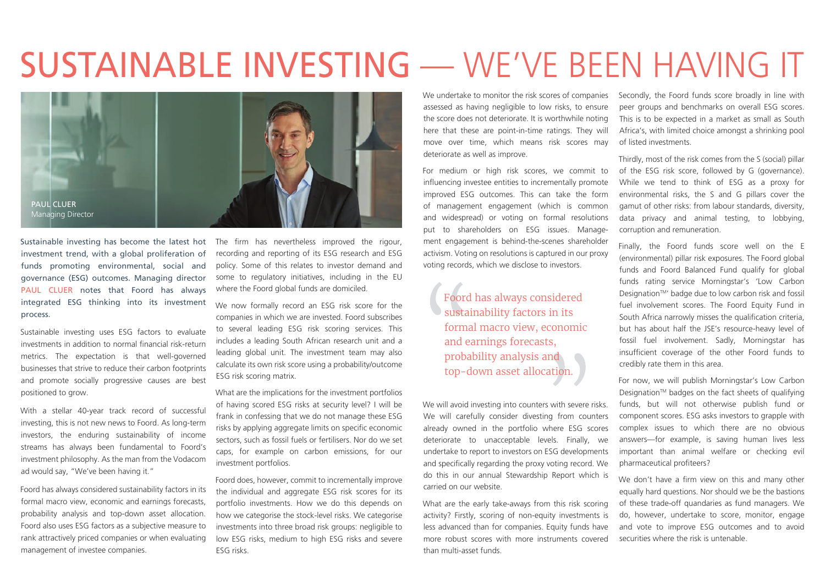### SUSTAINABLE INVESTING — WE'VE BEEN HAVING IT



Sustainable investing has become the latest hot investment trend, with a global proliferation of funds promoting environmental, social and governance (ESG) outcomes. Managing director PAUL CLUER notes that Foord has always integrated ESG thinking into its investment process.

Sustainable investing uses ESG factors to evaluate investments in addition to normal financial risk-return metrics. The expectation is that well-governed businesses that strive to reduce their carbon footprints and promote socially progressive causes are best positioned to grow.

With a stellar 40-year track record of successful investing, this is not new news to Foord. As long-term investors, the enduring sustainability of income streams has always been fundamental to Foord's investment philosophy. As the man from the Vodacom ad would say, "We've been having it."

Foord has always considered sustainability factors in its formal macro view, economic and earnings forecasts, probability analysis and top-down asset allocation. Foord also uses ESG factors as a subjective measure to rank attractively priced companies or when evaluating management of investee companies.

The firm has nevertheless improved the rigour, recording and reporting of its ESG research and ESG policy. Some of this relates to investor demand and some to regulatory initiatives, including in the EU where the Foord global funds are domiciled.

We now formally record an ESG risk score for the companies in which we are invested. Foord subscribes to several leading ESG risk scoring services. This includes a leading South African research unit and a leading global unit. The investment team may also calculate its own risk score using a probability/outcome ESG risk scoring matrix.

What are the implications for the investment portfolios of having scored ESG risks at security level? I will be frank in confessing that we do not manage these ESG risks by applying aggregate limits on specific economic sectors, such as fossil fuels or fertilisers. Nor do we set caps, for example on carbon emissions, for our investment portfolios.

Foord does, however, commit to incrementally improve the individual and aggregate ESG risk scores for its portfolio investments. How we do this depends on how we categorise the stock-level risks. We categorise investments into three broad risk groups: negligible to low ESG risks, medium to high ESG risks and severe ESG risks.

We undertake to monitor the risk scores of companies assessed as having negligible to low risks, to ensure the score does not deteriorate. It is worthwhile noting here that these are point-in-time ratings. They will move over time, which means risk scores may deteriorate as well as improve.

For medium or high risk scores, we commit to influencing investee entities to incrementally promote improved ESG outcomes. This can take the form of management engagement (which is common and widespread) or voting on formal resolutions put to shareholders on ESG issues. Management engagement is behind-the-scenes shareholder activism. Voting on resolutions is captured in our proxy voting records, which we disclose to investors.

Foord has always considered sustainability factors in its formal macro view, economic and earnings forecasts, probability analysis and top-down asset allocation.

We will avoid investing into counters with severe risks. We will carefully consider divesting from counters already owned in the portfolio where ESG scores deteriorate to unacceptable levels. Finally, we undertake to report to investors on ESG developments and specifically regarding the proxy voting record. We do this in our annual Stewardship Report which is carried on our website.

What are the early take-aways from this risk scoring activity? Firstly, scoring of non-equity investments is less advanced than for companies. Equity funds have more robust scores with more instruments covered than multi-asset funds.

Secondly, the Foord funds score broadly in line with peer groups and benchmarks on overall ESG scores. This is to be expected in a market as small as South Africa's, with limited choice amongst a shrinking pool of listed investments.

Thirdly, most of the risk comes from the S (social) pillar of the ESG risk score, followed by G (governance). While we tend to think of ESG as a proxy for environmental risks, the S and G pillars cover the gamut of other risks: from labour standards, diversity, data privacy and animal testing, to lobbying, corruption and remuneration.

Finally, the Foord funds score well on the E (environmental) pillar risk exposures. The Foord global funds and Foord Balanced Fund qualify for global funds rating service Morningstar's 'Low Carbon Designation™' badge due to low carbon risk and fossil fuel involvement scores. The Foord Equity Fund in South Africa narrowly misses the qualification criteria, but has about half the JSE's resource-heavy level of fossil fuel involvement. Sadly, Morningstar has insufficient coverage of the other Foord funds to credibly rate them in this area.

For now, we will publish Morningstar's Low Carbon Designation™ badges on the fact sheets of qualifying funds, but will not otherwise publish fund or component scores. ESG asks investors to grapple with complex issues to which there are no obvious answers—for example, is saving human lives less important than animal welfare or checking evil pharmaceutical profiteers?

We don't have a firm view on this and many other equally hard questions. Nor should we be the bastions of these trade-off quandaries as fund managers. We do, however, undertake to score, monitor, engage and vote to improve ESG outcomes and to avoid securities where the risk is untenable.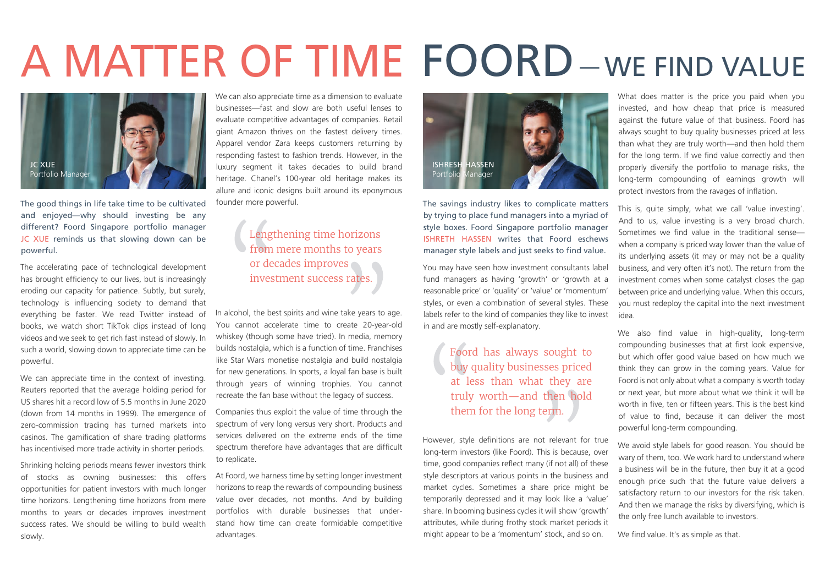# A MATTER OF TIME FOORD-WE FIND VALUE



The good things in life take time to be cultivated and enjoyed—why should investing be any different? Foord Singapore portfolio manager JC XUE reminds us that slowing down can be powerful.

The accelerating pace of technological development has brought efficiency to our lives, but is increasingly eroding our capacity for patience. Subtly, but surely, technology is influencing society to demand that everything be faster. We read Twitter instead of books, we watch short TikTok clips instead of long videos and we seek to get rich fast instead of slowly. In such a world, slowing down to appreciate time can be powerful.

We can appreciate time in the context of investing. Reuters reported that the average holding period for US shares hit a record low of 5.5 months in June 2020 (down from 14 months in 1999). The emergence of zero-commission trading has turned markets into casinos. The gamification of share trading platforms has incentivised more trade activity in shorter periods.

Shrinking holding periods means fewer investors think of stocks as owning businesses: this offers opportunities for patient investors with much longer time horizons. Lengthening time horizons from mere months to years or decades improves investment success rates. We should be willing to build wealth slowly.

We can also appreciate time as a dimension to evaluate businesses—fast and slow are both useful lenses to evaluate competitive advantages of companies. Retail giant Amazon thrives on the fastest delivery times. Apparel vendor Zara keeps customers returning by responding fastest to fashion trends. However, in the luxury segment it takes decades to build brand heritage. Chanel's 100-year old heritage makes its allure and iconic designs built around its eponymous founder more powerful.

#### Lengthening time horizons from mere months to years or decades improves investment success rates.

In alcohol, the best spirits and wine take years to age. You cannot accelerate time to create 20-year-old whiskey (though some have tried). In media, memory builds nostalgia, which is a function of time. Franchises like Star Wars monetise nostalgia and build nostalgia for new generations. In sports, a loyal fan base is built through years of winning trophies. You cannot recreate the fan base without the legacy of success.

Companies thus exploit the value of time through the spectrum of very long versus very short. Products and services delivered on the extreme ends of the time spectrum therefore have advantages that are difficult to replicate.

At Foord, we harness time by setting longer investment horizons to reap the rewards of compounding business value over decades, not months. And by building portfolios with durable businesses that understand how time can create formidable competitive advantages.



The savings industry likes to complicate matters by trying to place fund managers into a myriad of style boxes. Foord Singapore portfolio manager ISHRETH HASSEN writes that Foord eschews manager style labels and just seeks to find value.

You may have seen how investment consultants label fund managers as having 'growth' or 'growth at a reasonable price' or 'quality' or 'value' or 'momentum' styles, or even a combination of several styles. These labels refer to the kind of companies they like to invest in and are mostly self-explanatory.

#### Foord has always sought to buy quality businesses priced at less than what they are truly worth—and then hold them for the long term.

However, style definitions are not relevant for true long-term investors (like Foord). This is because, over time, good companies reflect many (if not all) of these style descriptors at various points in the business and market cycles. Sometimes a share price might be temporarily depressed and it may look like a 'value' share. In booming business cycles it will show 'growth' attributes, while during frothy stock market periods it might appear to be a 'momentum' stock, and so on.

What does matter is the price you paid when you invested, and how cheap that price is measured against the future value of that business. Foord has always sought to buy quality businesses priced at less than what they are truly worth—and then hold them for the long term. If we find value correctly and then properly diversify the portfolio to manage risks, the long-term compounding of earnings growth will protect investors from the ravages of inflation.

This is, quite simply, what we call 'value investing'. And to us, value investing is a very broad church. Sometimes we find value in the traditional sense when a company is priced way lower than the value of its underlying assets (it may or may not be a quality business, and very often it's not). The return from the investment comes when some catalyst closes the gap between price and underlying value. When this occurs, you must redeploy the capital into the next investment idea.

We also find value in high-quality, long-term compounding businesses that at first look expensive, but which offer good value based on how much we think they can grow in the coming years. Value for Foord is not only about what a company is worth today or next year, but more about what we think it will be worth in five, ten or fifteen years. This is the best kind of value to find, because it can deliver the most powerful long-term compounding.

We avoid style labels for good reason. You should be wary of them, too. We work hard to understand where a business will be in the future, then buy it at a good enough price such that the future value delivers a satisfactory return to our investors for the risk taken. And then we manage the risks by diversifying, which is the only free lunch available to investors.

We find value. It's as simple as that.